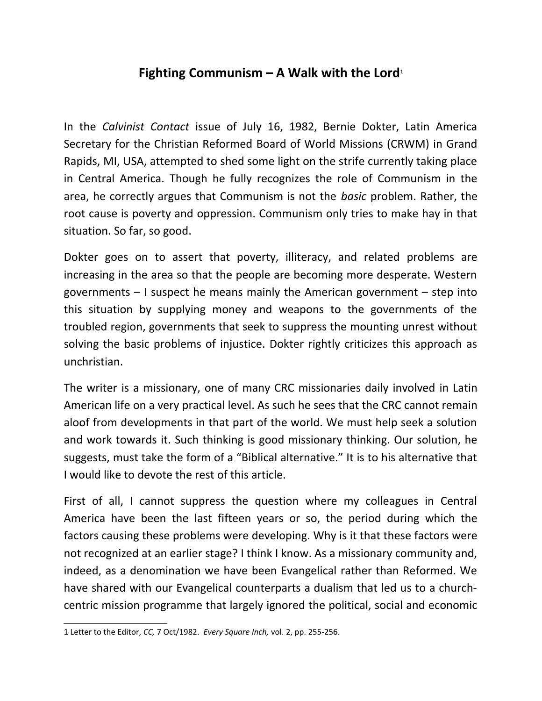## **Fighting Communism – A Walk with the Lord**[1](#page-0-0)

In the *Calvinist Contact* issue of July 16, 1982, Bernie Dokter, Latin America Secretary for the Christian Reformed Board of World Missions (CRWM) in Grand Rapids, MI, USA, attempted to shed some light on the strife currently taking place in Central America. Though he fully recognizes the role of Communism in the area, he correctly argues that Communism is not the *basic* problem. Rather, the root cause is poverty and oppression. Communism only tries to make hay in that situation. So far, so good.

Dokter goes on to assert that poverty, illiteracy, and related problems are increasing in the area so that the people are becoming more desperate. Western governments – I suspect he means mainly the American government – step into this situation by supplying money and weapons to the governments of the troubled region, governments that seek to suppress the mounting unrest without solving the basic problems of injustice. Dokter rightly criticizes this approach as unchristian.

The writer is a missionary, one of many CRC missionaries daily involved in Latin American life on a very practical level. As such he sees that the CRC cannot remain aloof from developments in that part of the world. We must help seek a solution and work towards it. Such thinking is good missionary thinking. Our solution, he suggests, must take the form of a "Biblical alternative." It is to his alternative that I would like to devote the rest of this article.

First of all, I cannot suppress the question where my colleagues in Central America have been the last fifteen years or so, the period during which the factors causing these problems were developing. Why is it that these factors were not recognized at an earlier stage? I think I know. As a missionary community and, indeed, as a denomination we have been Evangelical rather than Reformed. We have shared with our Evangelical counterparts a dualism that led us to a churchcentric mission programme that largely ignored the political, social and economic

<span id="page-0-0"></span><sup>1</sup> Letter to the Editor, *CC,* 7 Oct/1982. *Every Square Inch,* vol. 2, pp. 255-256.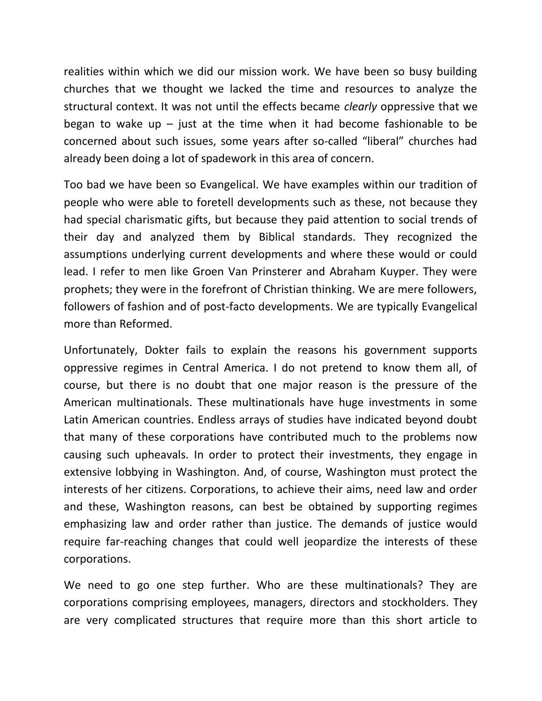realities within which we did our mission work. We have been so busy building churches that we thought we lacked the time and resources to analyze the structural context. It was not until the effects became *clearly* oppressive that we began to wake up  $-$  just at the time when it had become fashionable to be concerned about such issues, some years after so-called "liberal" churches had already been doing a lot of spadework in this area of concern.

Too bad we have been so Evangelical. We have examples within our tradition of people who were able to foretell developments such as these, not because they had special charismatic gifts, but because they paid attention to social trends of their day and analyzed them by Biblical standards. They recognized the assumptions underlying current developments and where these would or could lead. I refer to men like Groen Van Prinsterer and Abraham Kuyper. They were prophets; they were in the forefront of Christian thinking. We are mere followers, followers of fashion and of post-facto developments. We are typically Evangelical more than Reformed.

Unfortunately, Dokter fails to explain the reasons his government supports oppressive regimes in Central America. I do not pretend to know them all, of course, but there is no doubt that one major reason is the pressure of the American multinationals. These multinationals have huge investments in some Latin American countries. Endless arrays of studies have indicated beyond doubt that many of these corporations have contributed much to the problems now causing such upheavals. In order to protect their investments, they engage in extensive lobbying in Washington. And, of course, Washington must protect the interests of her citizens. Corporations, to achieve their aims, need law and order and these, Washington reasons, can best be obtained by supporting regimes emphasizing law and order rather than justice. The demands of justice would require far-reaching changes that could well jeopardize the interests of these corporations.

We need to go one step further. Who are these multinationals? They are corporations comprising employees, managers, directors and stockholders. They are very complicated structures that require more than this short article to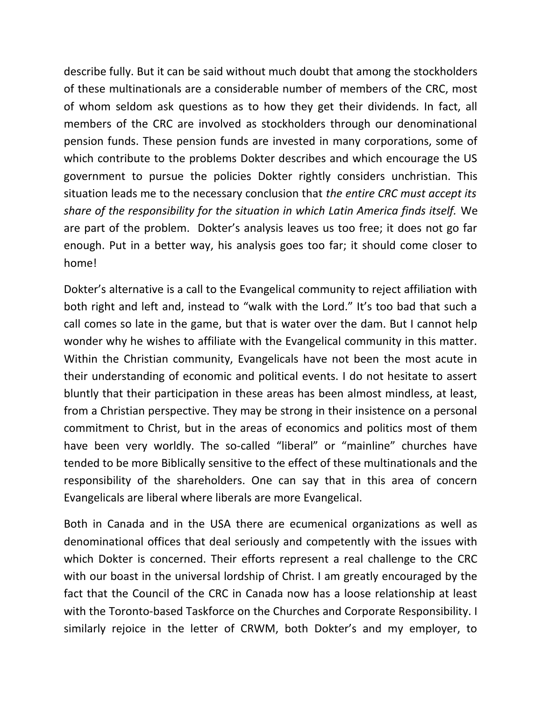describe fully. But it can be said without much doubt that among the stockholders of these multinationals are a considerable number of members of the CRC, most of whom seldom ask questions as to how they get their dividends. In fact, all members of the CRC are involved as stockholders through our denominational pension funds. These pension funds are invested in many corporations, some of which contribute to the problems Dokter describes and which encourage the US government to pursue the policies Dokter rightly considers unchristian. This situation leads me to the necessary conclusion that *the entire CRC must accept its share of the responsibility for the situation in which Latin America finds itself.* We are part of the problem. Dokter's analysis leaves us too free; it does not go far enough. Put in a better way, his analysis goes too far; it should come closer to home!

Dokter's alternative is a call to the Evangelical community to reject affiliation with both right and left and, instead to "walk with the Lord." It's too bad that such a call comes so late in the game, but that is water over the dam. But I cannot help wonder why he wishes to affiliate with the Evangelical community in this matter. Within the Christian community, Evangelicals have not been the most acute in their understanding of economic and political events. I do not hesitate to assert bluntly that their participation in these areas has been almost mindless, at least, from a Christian perspective. They may be strong in their insistence on a personal commitment to Christ, but in the areas of economics and politics most of them have been very worldly. The so-called "liberal" or "mainline" churches have tended to be more Biblically sensitive to the effect of these multinationals and the responsibility of the shareholders. One can say that in this area of concern Evangelicals are liberal where liberals are more Evangelical.

Both in Canada and in the USA there are ecumenical organizations as well as denominational offices that deal seriously and competently with the issues with which Dokter is concerned. Their efforts represent a real challenge to the CRC with our boast in the universal lordship of Christ. I am greatly encouraged by the fact that the Council of the CRC in Canada now has a loose relationship at least with the Toronto-based Taskforce on the Churches and Corporate Responsibility. I similarly rejoice in the letter of CRWM, both Dokter's and my employer, to